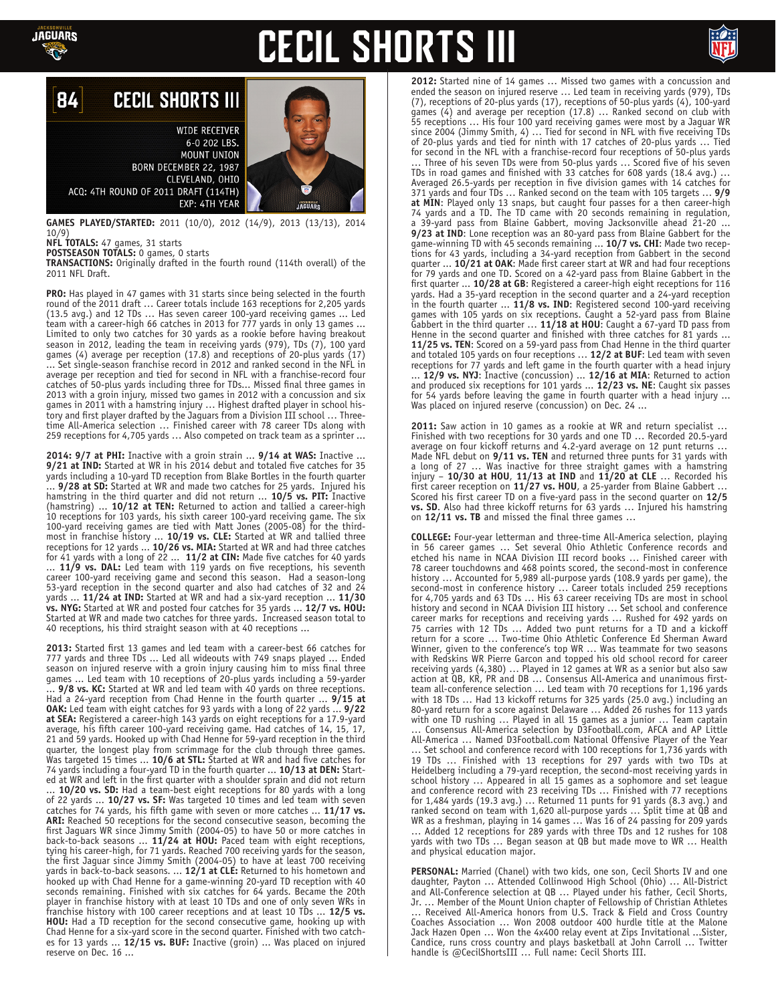

# **CECIL SHORTS III**



#### **CECIL SHORTS III** 84

**WIDE RECEIVER** 6-0 202 LBS. **MOUNT UNION** BORN DECEMBER 22, 1987 CLEVELAND, OHIO ACQ: 4TH ROUND OF 2011 DRAFT (114TH) EXP: 4TH YEAR

**GAMES PLAYED/STARTED:** 2011 (10/0), 2012 (14/9), 2013 (13/13), 2014 10/9) **NFL TOTALS:** 47 games, 31 starts

**POSTSEASON TOTALS:** 0 games, 0 starts

**TRANSACTIONS:** Originally drafted in the fourth round (114th overall) of the 2011 NFL Draft.

**PRO:** Has played in 47 games with 31 starts since being selected in the fourth round of the 2011 draft … Career totals include 163 receptions for 2,205 yards (13.5 avg.) and 12 TDs … Has seven career 100-yard receiving games ... Led team with a career-high 66 catches in 2013 for  $777$  yards in only 13 games ... Limited to only two catches for 30 yards as a rookie before having breakout season in 2012, leading the team in receiving yards (979), TDs (7), 100 yard games (4) average per reception (17.8) and receptions of 20-plus yards (17) ... Set single-season franchise record in 2012 and ranked second in the NFL in average per reception and tied for second in NFL with a franchise-record four catches of 50-plus yards including three for TDs... Missed final three games in 2013 with a groin injury, missed two games in 2012 with a concussion and six games in 2011 with a hamstring injury ... Highest drafted player in school history and first player drafted by the Jaguars from a Division III school … Threetime All-America selection … Finished career with 78 career TDs along with 259 receptions for 4,705 yards … Also competed on track team as a sprinter ...

**2014: 9/7 at PHI:** Inactive with a groin strain ... **9/14 at WAS:** Inactive ... **9/21 at IND:** Started at WR in his 2014 debut and totaled five catches for 35 yards including a 10-yard TD reception from Blake Bortles in the fourth quarter ... **9/28 at SD:** Started at WR and made two catches for 25 yards. Injured his hamstring in the third quarter and did not return ... **10/5 vs. PIT:** Inactive (hamstring) ... **10/12 at TEN:** Returned to action and tallied a career-high 10 receptions for 103 yards, his sixth career 100-yard receiving game. The six 100-yard receiving games are tied with Matt Jones (2005-08) for the thirdmost in franchise history ... **10/19 vs. CLE:** Started at WR and tallied three receptions for 12 yards ... **10/26 vs. MIA:** Started at WR and had three catches for 41 yards with a long of 22 ... **11/2 at CIN:** Made five catches for 40 yards ... **11/9 vs. DAL:** Led team with 119 yards on five receptions, his seventh career 100-yard receiving game and second this season. Had a season-long 53-yard reception in the second quarter and also had catches of 32 and 24 yards ... **11/24 at IND:** Started at WR and had a six-yard reception ... **11/30 vs. NYG:** Started at WR and posted four catches for 35 yards ... **12/7 vs. HOU:** Started at WR and made two catches for three yards. Increased season total to 40 receptions, his third straight season with at 40 receptions ...

**2013:** Started first 13 games and led team with a career-best 66 catches for 777 yards and three TDs ... Led all wideouts with 749 snaps played ... Ended season on injured reserve with a groin injury causing him to miss final three games ... Led team with 10 receptions of 20-plus yards including a 59-yarder ... **9/8 vs. KC:** Started at WR and led team with 40 yards on three receptions. Had a 24-yard reception from Chad Henne in the fourth quarter ... **9/15 at OAK:** Led team with eight catches for 93 yards with a long of 22 yards ... **9/22 at SEA:** Registered a career-high 143 yards on eight receptions for a 17.9-yard average, his fifth career 100-yard receiving game. Had catches of 14, 15, 17, 21 and 59 yards. Hooked up with Chad Henne for 59-yard reception in the third quarter, the longest play from scrimmage for the club through three games. Was targeted 15 times ... **10/6 at STL:** Started at WR and had five catches for 74 yards including a four-yard TD in the fourth quarter ... **10/13 at DEN:** Started at WR and left in the first quarter with a shoulder sprain and did not return ... **10/20 vs. SD:** Had a team-best eight receptions for 80 yards with a long of 22 yards ... **10/27 vs. SF:** Was targeted 10 times and led team with seven catches for 74 yards, his fifth game with seven or more catches ... **11/17 vs. ARI:** Reached 50 receptions for the second consecutive season, becoming the first Jaguars WR since Jimmy Smith (2004-05) to have 50 or more catches in back-to-back seasons ... **11/24 at HOU:** Paced team with eight receptions, tying his career-high, for 71 yards. Reached 700 receiving yards for the season, the first Jaguar since Jimmy Smith (2004-05) to have at least 700 receiving yards in back-to-back seasons. ... **12/1 at CLE:** Returned to his hometown and hooked up with Chad Henne for a game-winning 20-yard TD reception with 40 seconds remaining. Finished with six catches for 64 yards. Became the 20th player in franchise history with at least 10 TDs and one of only seven WRs in franchise history with 100 career receptions and at least 10 TDs ... **12/5 vs. HOU:** Had a TD reception for the second consecutive game, hooking up with Chad Henne for a six-yard score in the second quarter. Finished with two catches for 13 yards ... **12/15 vs. BUF:** Inactive (groin) ... Was placed on injured reserve on Dec. 16 ...

**2012:** Started nine of 14 games … Missed two games with a concussion and ended the season on injured reserve … Led team in receiving yards (979), TDs (7), receptions of 20-plus yards (17), receptions of 50-plus yards (4), 100-yard games (4) and average per reception (17.8) … Ranked second on club with 55 receptions … His four 100 yard receiving games were most by a Jaguar WR since 2004 (Jimmy Smith, 4) … Tied for second in NFL with five receiving TDs of 20-plus yards and tied for ninth with 17 catches of 20-plus yards … Tied for second in the NFL with a franchise-record four receptions of 50-plus yards … Three of his seven TDs were from 50-plus yards … Scored five of his seven TDs in road games and finished with 33 catches for 608 yards (18.4 avg.) … Averaged 26.5-yards per reception in five division games with 14 catches for 371 yards and four TDs … Ranked second on the team with 105 targets … **9/9 at MIN**: Played only 13 snaps, but caught four passes for a then career-high 74 yards and a TD. The TD came with 20 seconds remaining in regulation, a 39-yard pass from Blaine Gabbert, moving Jacksonville ahead 21-20 ... **9/23 at IND**: Lone reception was an 80-yard pass from Blaine Gabbert for the game-winning TD with 45 seconds remaining ... **10/7 vs. CHI**: Made two receptions for 43 yards, including a 34-yard reception from Gabbert in the second quarter ... **10/21 at OAK**: Made first career start at WR and had four receptions for 79 yards and one TD. Scored on a 42-yard pass from Blaine Gabbert in the first quarter ... **10/28 at GB**: Registered a career-high eight receptions for 116 yards. Had a 35-yard reception in the second quarter and a 24-yard reception in the fourth quarter ... **11/8 vs. IND**: Registered second 100-yard receiving games with 105 yards on six receptions. Caught a 52-yard pass from Blaine Gabbert in the third quarter … **11/18 at HOU**: Caught a 67-yard TD pass from Henne in the second quarter and finished with three catches for 81 yards ... **11/25 vs. TEN**: Scored on a 59-yard pass from Chad Henne in the third quarter and totaled 105 yards on four receptions … **12/2 at BUF**: Led team with seven receptions for 77 yards and left game in the fourth quarter with a head injury ... **12/9 vs. NYJ**: Inactive (concussion) ... **12/16 at MIA**: Returned to action and produced six receptions for 101 yards ... **12/23 vs. NE**: Caught six passes for 54 yards before leaving the game in fourth quarter with a head injury ... Was placed on injured reserve (concussion) on Dec. 24 ...

**2011:** Saw action in 10 games as a rookie at WR and return specialist … Finished with two receptions for 30 yards and one TD … Recorded 20.5-yard average on four kickoff returns and 4.2-yard average on 12 punt returns … Made NFL debut on **9/11 vs. TEN** and returned three punts for 31 yards with a long of 27 … Was inactive for three straight games with a hamstring injury – **10/30 at HOU**, **11/13 at IND** and **11/20 at CLE** … Recorded his first career reception on **11/27 vs. HOU**, a 25-yarder from Blaine Gabbert … Scored his first career TD on a five-yard pass in the second quarter on **12/5 vs. SD**. Also had three kickoff returns for 63 yards … Injured his hamstring on **12/11 vs. TB** and missed the final three games …

**COLLEGE:** Four-year letterman and three-time All-America selection, playing in 56 career games … Set several Ohio Athletic Conference records and etched his name in NCAA Division III record books … Finished career with 78 career touchdowns and 468 points scored, the second-most in conference history ... Accounted for 5,989 all-purpose yards (108.9 yards per game), the second-most in conference history … Career totals included 259 receptions for 4,705 yards and 63 TDs … His 63 career receiving TDs are most in school history and second in NCAA Division III history … Set school and conference career marks for receptions and receiving yards … Rushed for 492 yards on 75 carries with 12 TDs ... Added two punt returns for a TD and a kickoff return for a score … Two-time Ohio Athletic Conference Ed Sherman Award Winner, given to the conference's top WR … Was teammate for two seasons with Redskins WR Pierre Garcon and topped his old school record for career receiving yards (4,380) … Played in 12 games at WR as a senior but also saw action at QB, KR, PR and DB … Consensus All-America and unanimous firstteam all-conference selection … Led team with 70 receptions for 1,196 yards with 18 TDs … Had 13 kickoff returns for 325 yards (25.0 avg.) including an 80-yard return for a score against Delaware … Added 26 rushes for 113 yards with one TD rushing … Played in all 15 games as a junior … Team captain … Consensus All-America selection by D3Football.com, AFCA and AP Little All-America … Named D3Football.com National Offensive Player of the Year … Set school and conference record with 100 receptions for 1,736 yards with 19 TDs … Finished with 13 receptions for 297 yards with two TDs at Heidelberg including a 79-yard reception, the second-most receiving yards in school history … Appeared in all 15 games as a sophomore and set league and conference record with 23 receiving TDs … Finished with 77 receptions for 1,484 yards (19.3 avg.) … Returned 11 punts for 91 yards (8.3 avg.) and ranked second on team with 1,620 all-purpose yards … Split time at QB and WR as a freshman, playing in 14 games … Was 16 of 24 passing for 209 yards … Added 12 receptions for 289 yards with three TDs and 12 rushes for 108 yards with two TDs ... Began season at QB but made move to WR ... Health and physical education major.

**PERSONAL:** Married (Chanel) with two kids, one son, Cecil Shorts IV and one daughter, Payton … Attended Collinwood High School (Ohio) … All-District and All-Conference selection at QB ... Played under his father, Cecil Shorts, Jr. … Member of the Mount Union chapter of Fellowship of Christian Athletes … Received All-America honors from U.S. Track & Field and Cross Country Coaches Association … Won 2008 outdoor 400 hurdle title at the Malone Jack Hazen Open … Won the 4x400 relay event at Zips Invitational ...Sister, Candice, runs cross country and plays basketball at John Carroll … Twitter handle is @CecilShortsIII ... Full name: Cecil Shorts III.